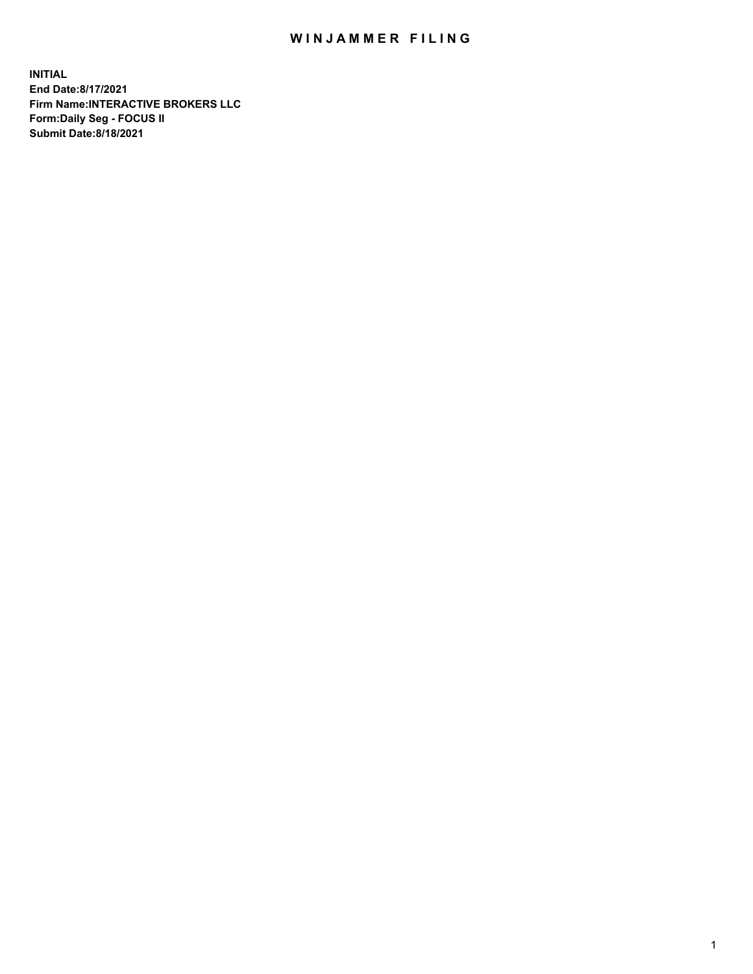## WIN JAMMER FILING

**INITIAL End Date:8/17/2021 Firm Name:INTERACTIVE BROKERS LLC Form:Daily Seg - FOCUS II Submit Date:8/18/2021**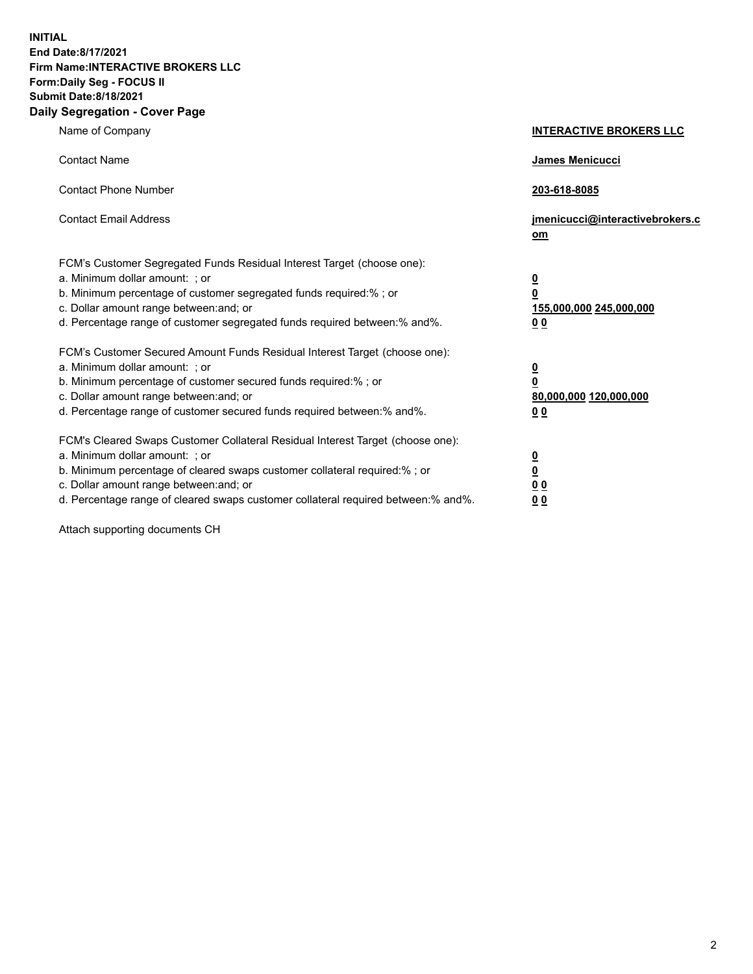**INITIAL End Date:8/17/2021 Firm Name:INTERACTIVE BROKERS LLC Form:Daily Seg - FOCUS II Submit Date:8/18/2021 Daily Segregation - Cover Page**

| Name of Company                                                                                                                                                                                                                                                                                                               | <b>INTERACTIVE BROKERS LLC</b>                                                            |
|-------------------------------------------------------------------------------------------------------------------------------------------------------------------------------------------------------------------------------------------------------------------------------------------------------------------------------|-------------------------------------------------------------------------------------------|
| <b>Contact Name</b>                                                                                                                                                                                                                                                                                                           | James Menicucci                                                                           |
| <b>Contact Phone Number</b>                                                                                                                                                                                                                                                                                                   | 203-618-8085                                                                              |
| <b>Contact Email Address</b>                                                                                                                                                                                                                                                                                                  | jmenicucci@interactivebrokers.c<br>$om$                                                   |
| FCM's Customer Segregated Funds Residual Interest Target (choose one):<br>a. Minimum dollar amount: ; or<br>b. Minimum percentage of customer segregated funds required:% ; or<br>c. Dollar amount range between: and; or<br>d. Percentage range of customer segregated funds required between: % and %.                      | <u>0</u><br>0<br>155,000,000 245,000,000<br>0 <sub>0</sub>                                |
| FCM's Customer Secured Amount Funds Residual Interest Target (choose one):<br>a. Minimum dollar amount: ; or<br>b. Minimum percentage of customer secured funds required:%; or<br>c. Dollar amount range between: and; or<br>d. Percentage range of customer secured funds required between:% and%.                           | <u>0</u><br>$\overline{\mathbf{0}}$<br>80,000,000 120,000,000<br>00                       |
| FCM's Cleared Swaps Customer Collateral Residual Interest Target (choose one):<br>a. Minimum dollar amount: ; or<br>b. Minimum percentage of cleared swaps customer collateral required:%; or<br>c. Dollar amount range between: and; or<br>d. Percentage range of cleared swaps customer collateral required between:% and%. | <u>0</u><br>$\underline{\mathbf{0}}$<br>$\underline{0}$ $\underline{0}$<br>0 <sub>0</sub> |

Attach supporting documents CH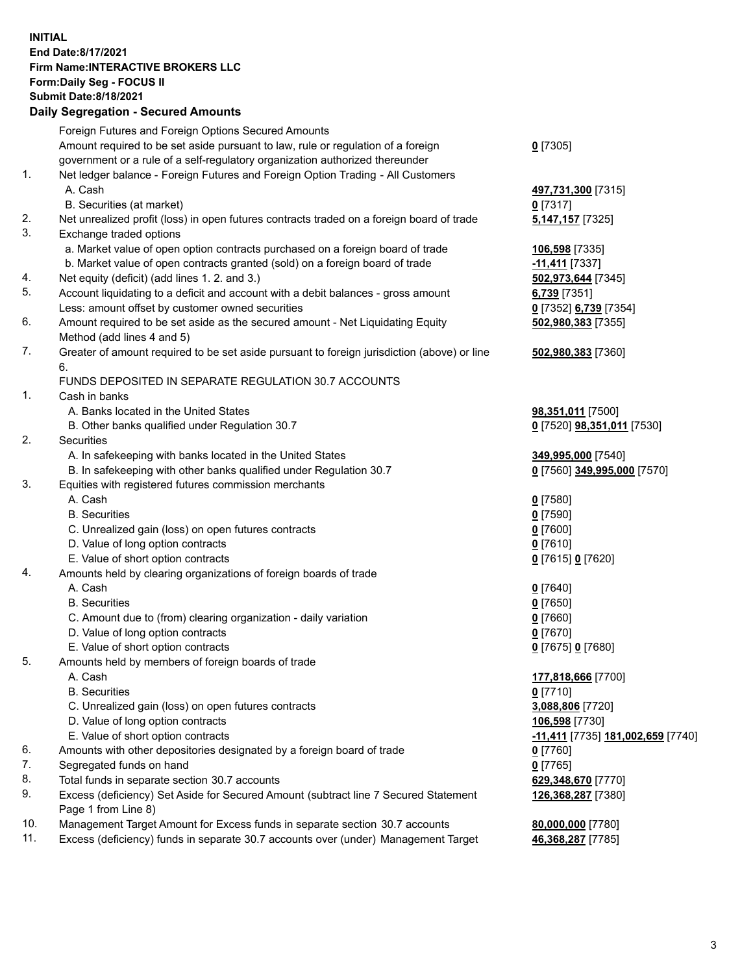## **INITIAL End Date:8/17/2021 Firm Name:INTERACTIVE BROKERS LLC Form:Daily Seg - FOCUS II Submit Date:8/18/2021 Daily Segregation - Secured Amounts**

|                | Daily Segregation - Secured Amounts                                                                        |                                                 |
|----------------|------------------------------------------------------------------------------------------------------------|-------------------------------------------------|
|                | Foreign Futures and Foreign Options Secured Amounts                                                        |                                                 |
|                | Amount required to be set aside pursuant to law, rule or regulation of a foreign                           | $0$ [7305]                                      |
|                | government or a rule of a self-regulatory organization authorized thereunder                               |                                                 |
| $\mathbf{1}$ . | Net ledger balance - Foreign Futures and Foreign Option Trading - All Customers                            |                                                 |
|                | A. Cash                                                                                                    | 497,731,300 [7315]                              |
|                | B. Securities (at market)                                                                                  | $0$ [7317]                                      |
| 2.             | Net unrealized profit (loss) in open futures contracts traded on a foreign board of trade                  | 5,147,157 [7325]                                |
| 3.             | Exchange traded options                                                                                    |                                                 |
|                | a. Market value of open option contracts purchased on a foreign board of trade                             | 106,598 [7335]                                  |
|                | b. Market value of open contracts granted (sold) on a foreign board of trade                               | -11,411 [7337]                                  |
| 4.             | Net equity (deficit) (add lines 1. 2. and 3.)                                                              | 502,973,644 [7345]                              |
| 5.             | Account liquidating to a deficit and account with a debit balances - gross amount                          | 6,739 [7351]                                    |
|                | Less: amount offset by customer owned securities                                                           | 0 [7352] 6,739 [7354]                           |
| 6.             | Amount required to be set aside as the secured amount - Net Liquidating Equity                             | 502,980,383 [7355]                              |
|                | Method (add lines 4 and 5)                                                                                 |                                                 |
| 7.             | Greater of amount required to be set aside pursuant to foreign jurisdiction (above) or line                | 502,980,383 [7360]                              |
|                | 6.                                                                                                         |                                                 |
|                | FUNDS DEPOSITED IN SEPARATE REGULATION 30.7 ACCOUNTS                                                       |                                                 |
| 1.             | Cash in banks                                                                                              |                                                 |
|                | A. Banks located in the United States                                                                      | 98,351,011 [7500]                               |
|                | B. Other banks qualified under Regulation 30.7                                                             | 0 [7520] 98,351,011 [7530]                      |
| 2.             | <b>Securities</b>                                                                                          |                                                 |
|                | A. In safekeeping with banks located in the United States                                                  | 349,995,000 [7540]                              |
|                | B. In safekeeping with other banks qualified under Regulation 30.7                                         | 0 [7560] 349,995,000 [7570]                     |
| 3.             | Equities with registered futures commission merchants                                                      |                                                 |
|                | A. Cash                                                                                                    | $0$ [7580]                                      |
|                | <b>B.</b> Securities                                                                                       | $0$ [7590]                                      |
|                | C. Unrealized gain (loss) on open futures contracts                                                        | $0$ [7600]                                      |
|                | D. Value of long option contracts                                                                          | $0$ [7610]                                      |
|                | E. Value of short option contracts                                                                         | 0 [7615] 0 [7620]                               |
| 4.             | Amounts held by clearing organizations of foreign boards of trade                                          |                                                 |
|                | A. Cash                                                                                                    | $Q$ [7640]                                      |
|                | <b>B.</b> Securities                                                                                       | $0$ [7650]                                      |
|                | C. Amount due to (from) clearing organization - daily variation                                            | $0$ [7660]                                      |
|                | D. Value of long option contracts                                                                          | $0$ [7670]                                      |
|                | E. Value of short option contracts                                                                         | 0 [7675] 0 [7680]                               |
| 5.             | Amounts held by members of foreign boards of trade                                                         |                                                 |
|                | A. Cash                                                                                                    | 177,818,666 [7700]                              |
|                | <b>B.</b> Securities                                                                                       | $0$ [7710]                                      |
|                | C. Unrealized gain (loss) on open futures contracts                                                        | 3,088,806 [7720]                                |
|                | D. Value of long option contracts                                                                          | 106,598 [7730]                                  |
|                | E. Value of short option contracts                                                                         | <u>-11,411</u> [7735] <u>181,002,659</u> [7740] |
| 6.<br>7.       | Amounts with other depositories designated by a foreign board of trade                                     | $0$ [7760]                                      |
| 8.             | Segregated funds on hand                                                                                   | $0$ [7765]<br>629,348,670 [7770]                |
| 9.             | Total funds in separate section 30.7 accounts                                                              |                                                 |
|                | Excess (deficiency) Set Aside for Secured Amount (subtract line 7 Secured Statement<br>Page 1 from Line 8) | 126,368,287 [7380]                              |
| 10.            | Management Target Amount for Excess funds in separate section 30.7 accounts                                | 80,000,000 [7780]                               |
| 11.            | Excess (deficiency) funds in separate 30.7 accounts over (under) Management Target                         | 46,368,287 [7785]                               |
|                |                                                                                                            |                                                 |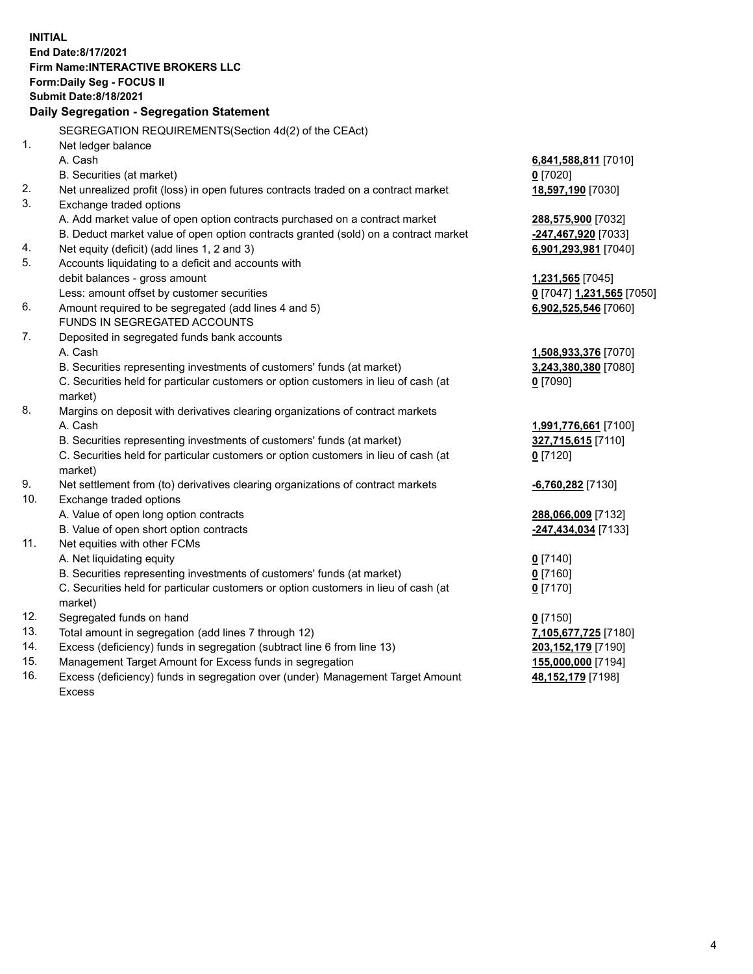**INITIAL End Date:8/17/2021 Firm Name:INTERACTIVE BROKERS LLC Form:Daily Seg - FOCUS II Submit Date:8/18/2021 Daily Segregation - Segregation Statement** SEGREGATION REQUIREMENTS(Section 4d(2) of the CEAct) 1. Net ledger balance A. Cash **6,841,588,811** [7010] B. Securities (at market) **0** [7020] 2. Net unrealized profit (loss) in open futures contracts traded on a contract market **18,597,190** [7030] 3. Exchange traded options A. Add market value of open option contracts purchased on a contract market **288,575,900** [7032] B. Deduct market value of open option contracts granted (sold) on a contract market **-247,467,920** [7033] 4. Net equity (deficit) (add lines 1, 2 and 3) **6,901,293,981** [7040] 5. Accounts liquidating to a deficit and accounts with debit balances - gross amount **1,231,565** [7045] Less: amount offset by customer securities **0** [7047] **1,231,565** [7050] 6. Amount required to be segregated (add lines 4 and 5) **6,902,525,546** [7060] FUNDS IN SEGREGATED ACCOUNTS 7. Deposited in segregated funds bank accounts A. Cash **1,508,933,376** [7070] B. Securities representing investments of customers' funds (at market) **3,243,380,380** [7080] C. Securities held for particular customers or option customers in lieu of cash (at market) **0** [7090] 8. Margins on deposit with derivatives clearing organizations of contract markets A. Cash **1,991,776,661** [7100] B. Securities representing investments of customers' funds (at market) **327,715,615** [7110] C. Securities held for particular customers or option customers in lieu of cash (at market) **0** [7120] 9. Net settlement from (to) derivatives clearing organizations of contract markets **-6,760,282** [7130] 10. Exchange traded options A. Value of open long option contracts **288,066,009** [7132] B. Value of open short option contracts **-247,434,034** [7133] 11. Net equities with other FCMs A. Net liquidating equity **0** [7140] B. Securities representing investments of customers' funds (at market) **0** [7160] C. Securities held for particular customers or option customers in lieu of cash (at market) **0** [7170] 12. Segregated funds on hand **0** [7150] 13. Total amount in segregation (add lines 7 through 12) **7,105,677,725** [7180] 14. Excess (deficiency) funds in segregation (subtract line 6 from line 13) **203,152,179** [7190] 15. Management Target Amount for Excess funds in segregation **155,000,000** [7194]

16. Excess (deficiency) funds in segregation over (under) Management Target Amount Excess

**48,152,179** [7198]